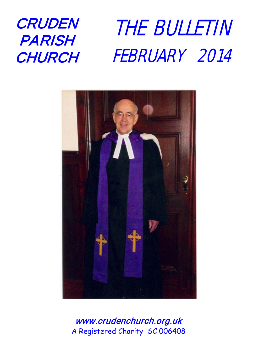**CRUDEN PARISH CHURCH** 

# THE BULLETIN FEBRUARY 2014



[www.crudenc](http://www.cruden/)hurch.org.uk A Registered Charity SC 006408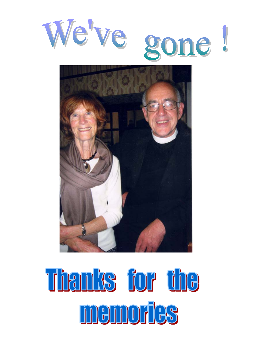



# Thanks for the **Memories**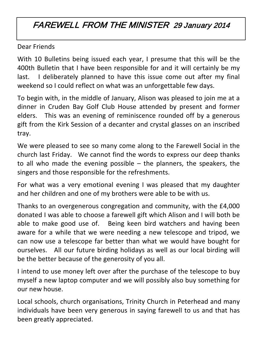#### FAREWELL FROM THE MINISTER 29 January 2014

#### Dear Friends

With 10 Bulletins being issued each year, I presume that this will be the 400th Bulletin that I have been responsible for and it will certainly be my last. I deliberately planned to have this issue come out after my final weekend so I could reflect on what was an unforgettable few days.

To begin with, in the middle of January, Alison was pleased to join me at a dinner in Cruden Bay Golf Club House attended by present and former elders. This was an evening of reminiscence rounded off by a generous gift from the Kirk Session of a decanter and crystal glasses on an inscribed tray.

We were pleased to see so many come along to the Farewell Social in the church last Friday. We cannot find the words to express our deep thanks to all who made the evening possible – the planners, the speakers, the singers and those responsible for the refreshments.

For what was a very emotional evening I was pleased that my daughter and her children and one of my brothers were able to be with us.

Thanks to an overgenerous congregation and community, with the £4,000 donated I was able to choose a farewell gift which Alison and I will both be able to make good use of. Being keen bird watchers and having been aware for a while that we were needing a new telescope and tripod, we can now use a telescope far better than what we would have bought for ourselves. All our future birding holidays as well as our local birding will be the better because of the generosity of you all.

I intend to use money left over after the purchase of the telescope to buy myself a new laptop computer and we will possibly also buy something for our new house.

Local schools, church organisations, Trinity Church in Peterhead and many individuals have been very generous in saying farewell to us and that has been greatly appreciated.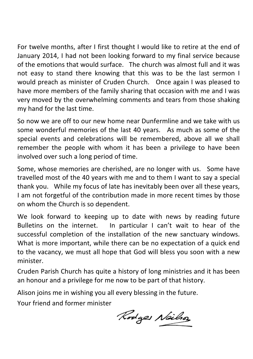For twelve months, after I first thought I would like to retire at the end of January 2014, I had not been looking forward to my final service because of the emotions that would surface. The church was almost full and it was not easy to stand there knowing that this was to be the last sermon I would preach as minister of Cruden Church. Once again I was pleased to have more members of the family sharing that occasion with me and I was very moved by the overwhelming comments and tears from those shaking my hand for the last time.

So now we are off to our new home near Dunfermline and we take with us some wonderful memories of the last 40 years. As much as some of the special events and celebrations will be remembered, above all we shall remember the people with whom it has been a privilege to have been involved over such a long period of time.

Some, whose memories are cherished, are no longer with us. Some have travelled most of the 40 years with me and to them I want to say a special thank you. While my focus of late has inevitably been over all these years, I am not forgetful of the contribution made in more recent times by those on whom the Church is so dependent.

We look forward to keeping up to date with news by reading future Bulletins on the internet. In particular I can't wait to hear of the successful completion of the installation of the new sanctuary windows. What is more important, while there can be no expectation of a quick end to the vacancy, we must all hope that God will bless you soon with a new minister.

Cruden Parish Church has quite a history of long ministries and it has been an honour and a privilege for me now to be part of that history.

Alison joins me in wishing you all every blessing in the future.

Your friend and former minister

Rodges Nailso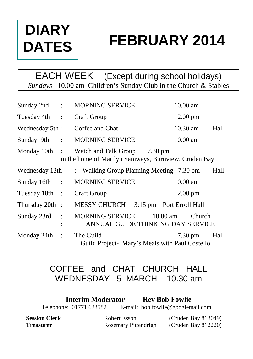## **DIARY DATES**

## **FEBRUARY 2014**

EACH WEEK (Except during school holidays) *Sundays* 10.00 am Children's Sunday Club in the Church & Stables

| Sunday 2nd      | $\ddot{\cdot}$ | <b>MORNING SERVICE</b>                                                               | 10.00 am           |      |  |  |
|-----------------|----------------|--------------------------------------------------------------------------------------|--------------------|------|--|--|
| Tuesday 4th:    |                | Craft Group                                                                          | $2.00 \text{ pm}$  |      |  |  |
| Wednesday 5th:  |                | Coffee and Chat                                                                      | $10.30$ am         | Hall |  |  |
| Sunday 9th      | $\pm$          | <b>MORNING SERVICE</b>                                                               | $10.00 \text{ am}$ |      |  |  |
| Monday $10th$ : |                | Watch and Talk Group 7.30 pm<br>in the home of Marilyn Samways, Burnview, Cruden Bay |                    |      |  |  |
| Wednesday 13th  |                | : Walking Group Planning Meeting 7.30 pm                                             |                    | Hall |  |  |
| Sunday 16th :   |                | <b>MORNING SERVICE</b>                                                               | $10.00$ am         |      |  |  |
| Tuesday 18th :  |                | Craft Group                                                                          | $2.00 \text{ pm}$  |      |  |  |
| Thursday 20th : |                | MESSY CHURCH 3:15 pm Port Erroll Hall                                                |                    |      |  |  |
| Sunday 23rd     | $\ddot{\cdot}$ | <b>MORNING SERVICE</b><br>$10.00$ am<br>ANNUAL GUIDE THINKING DAY SERVICE            | <b>Church</b>      |      |  |  |
| Monday 24th     | $\cdot$ :      | The Guild<br>Guild Project- Mary's Meals with Paul Costello                          | $7.30 \text{ pm}$  | Hall |  |  |

#### COFFEE and CHAT CHURCH HALL WEDNESDAY 5 MARCH 10.30 am

**Interim Moderator Rev Bob Fowlie**<br>Telephone: 01771 623582 E-mail: bob.fowlie@googlen E-mail: bob.fowlie@googlemail.com

**Treasurer Rosemary Pittendrigh** (Cruden Bay 812220)

**Session Clerk** Robert Esson (Cruden Bay 813049)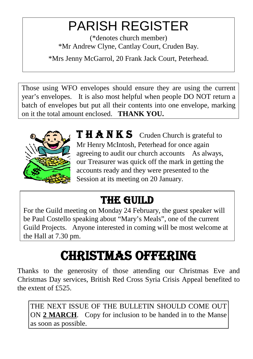## PARISH REGISTER

(\*denotes church member) \*Mr Andrew Clyne, Cantlay Court, Cruden Bay.

\*Mrs Jenny McGarrol, 20 Frank Jack Court, Peterhead.

Those using WFO envelopes should ensure they are using the current year's envelopes. It is also most helpful when people DO NOT return a batch of envelopes but put all their contents into one envelope, marking on it the total amount enclosed. **THANK YOU.**



**THANKS** Cruden Church is grateful to Mr Henry McIntosh, Peterhead for once again agreeing to audit our church accounts As always, our Treasurer was quick off the mark in getting the accounts ready and they were presented to the Session at its meeting on 20 January.

### THE GUILD

For the Guild meeting on Monday 24 February, the guest speaker will be Paul Costello speaking about "Mary's Meals", one of the current Guild Projects. Anyone interested in coming will be most welcome at the Hall at 7.30 pm.

## Christmas Offering

Thanks to the generosity of those attending our Christmas Eve and Christmas Day services, British Red Cross Syria Crisis Appeal benefited to the extent of £525.

THE NEXT ISSUE OF THE BULLETIN SHOULD COME OUT ON **2 MARCH**. Copy for inclusion to be handed in to the Manse as soon as possible.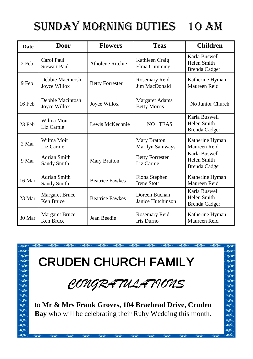## SUNDAY MORNING DUTIES 10 am

| <b>Date</b> | Door                               | <b>Flowers</b>         | <b>Teas</b>                                  | <b>Children</b>                                      |
|-------------|------------------------------------|------------------------|----------------------------------------------|------------------------------------------------------|
| 2 Feb       | Carol Paul<br><b>Stewart Paul</b>  | Atholene Ritchie       | Kathleen Craig<br>Elma Cumming               | Karla Buswell<br>Helen Smith<br>Brenda Cadger        |
| 9 Feb       | Debbie Macintosh<br>Joyce Willox   | <b>Betty Forrester</b> | Rosemary Reid<br>Jim MacDonald               | Katherine Hyman<br>Maureen Reid                      |
| 16 Feb      | Debbie Macintosh<br>Joyce Willox   | Joyce Willox           | <b>Margaret Adams</b><br><b>Betty Morris</b> | No Junior Church                                     |
| 23 Feb      | Wilma Moir<br>Liz Carnie           | Lewis McKechnie        | NO TEAS                                      | Karla Buswell<br>Helen Smith<br>Brenda Cadger        |
| 2 Mar       | Wilma Moir<br>Liz Carnie           |                        | Mary Bratton<br>Marilyn Samways              | Katherine Hyman<br>Maureen Reid                      |
| 9 Mar       | Adrian Smith<br>Sandy Smith        | Mary Bratton           | <b>Betty Forrester</b><br>Liz Carnie         | Karla Buswell<br>Helen Smith<br>Brenda Cadger        |
| 16 Mar      | Adrian Smith<br>Sandy Smith        | <b>Beatrice Fawkes</b> | Fiona Stephen<br><b>Irene Stott</b>          | Katherine Hyman<br>Maureen Reid                      |
| 23 Mar      | <b>Margaret Bruce</b><br>Ken Bruce | <b>Beatrice Fawkes</b> | Doreen Buchan<br>Janice Hutchinson           | Karla Buswell<br>Helen Smith<br><b>Brenda Cadger</b> |
| 30 Mar      | <b>Margaret Bruce</b><br>Ken Bruce | Jean Beedie            | Rosemary Reid<br>Iris Durno                  | Katherine Hyman<br>Maureen Reid                      |

يتجيعنا بهزينا يتوجد يتودد يحودا بيرد ≫g€ بيتوها يتوجنا يتجرها يتوجنا بهتوجنا بيتوها '≂g∈ يتودد يتعجب يتوجد بيكرت يتجرعا

## CRUDEN CHURCH FAMILY

*CONGRATULATIONS*

يحود

بهزجا

يتجرد

بينود

بجود

⊭≿ٍ

يجود

ليكول يجود

يخود

بيكون يبهج

يتود بهزد

يتود

بياجيت

يخود بيتون

يجودا

to **Mr & Mrs Frank Groves, 104 Braehead Drive, Cruden Bay** who will be celebrating their Ruby Wedding this month.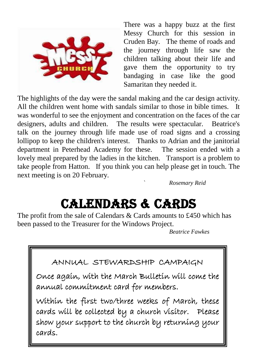

There was a happy buzz at the first [Me](http://www.bing.com/images/search?q=messy+church+logo&view=detail&id=C7DC2A2B5AF189E46351EDCF982BA33B6FC73003)ssy Church for this session in Cruden Bay. The theme of roads and the journey through life saw the children talking about their life and gave them the opportunity to try bandaging in case like the good Samaritan they needed it.

The highlights of the day were the sandal making and the car design activity. All the children went home with sandals similar to those in bible times. It was wonderful to see the enjoyment and concentration on the faces of the car designers, adults and children. The results were spectacular. Beatrice's talk on the journey through life made use of road signs and a crossing lollipop to keep the children's interest. Thanks to Adrian and the janitorial department in Peterhead Academy for these. The session ended with a lovely meal prepared by the ladies in the kitchen. Transport is a problem to take people from Hatton. If you think you can help please get in touch. The next meeting is on 20 February.

*` Rosemary Reid*

## Calendars & Cards

The profit from the sale of Calendars & Cards amounts to £450 which has been passed to the Treasurer for the Windows Project.

*Beatrice Fawkes*

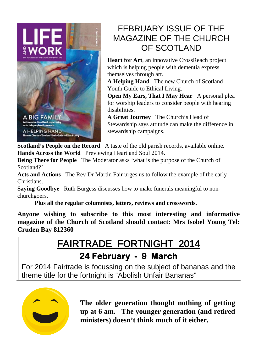

#### FEBRUARY ISSUE OF THE MAGAZINE OF THE CHURCH OF SCOTLAND

**Heart for Art**, an innovative CrossReach project which is helping people with dementia express themselves through art.

**A Helping Hand** The new Church of Scotland Youth Guide to Ethical Living.

**Open My Ears, That I May Hear** A personal plea for worship leaders to consider people with hearing disabilities.

**A Great Journey** The Church's Head of Stewardship says attitude can make the difference in stewardship campaigns.

**Scotland's People on the Record** A taste of the old parish records, available online. **Hands Across the World** Previewing Heart and Soul 2014.

**Being There for People** The Moderator asks 'what is the purpose of the Church of Scotland?'

**Acts and Actions** The Rev Dr Martin Fair urges us to follow the example of the early Christians.

**Saying Goodbye** Ruth Burgess discusses how to make funerals meaningful to nonchurchgoers.

**Plus all the regular columnists, letters, reviews and crosswords.**

**Anyone wishing to subscribe to this most interesting and informative magazine of the Church of Scotland should contact: Mrs Isobel Young Tel: Cruden Bay 812360**

#### FAIRTRADE FORTNIGHT 2014 **24 February - 9 March**

For 2014 Fairtrade is focussing on the subject of bananas and the theme title for the fortnight is "Abolish Unfair Bananas"



**The older generation thought nothing of getting up at 6 am. The younger generation (and retired ministers) doesn't think much of it either.**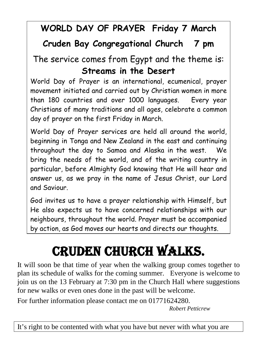#### **WORLD DAY OF PRAYER Friday 7 March**

#### **Cruden Bay Congregational Church 7 pm**

#### The service comes from Egypt and the theme is: **Streams in the Desert**

World Day of Prayer is an international, ecumenical, prayer movement initiated and carried out by Christian women in more than 180 countries and over 1000 languages. Every year Christians of many traditions and all ages, celebrate a common day of prayer on the first Friday in March.

World Day of Prayer services are held all around the world, beginning in Tonga and New Zealand in the east and continuing throughout the day to Samoa and Alaska in the west. We bring the needs of the world, and of the writing country in particular, before Almighty God knowing that He will hear and answer us, as we pray in the name of Jesus Christ, our Lord and Saviour.

God invites us to have a prayer relationship with Himself, but He also expects us to have concerned relationships with our neighbours, throughout the world. Prayer must be accompanied by action, as God moves our hearts and directs our thoughts.

## Cruden Church Walks.

It will soon be that time of year when the walking group comes together to plan its schedule of walks for the coming summer. Everyone is welcome to join us on the 13 February at 7:30 pm in the Church Hall where suggestions for new walks or even ones done in the past will be welcome.

For further information please contact me on 01771624280.

*Robert Petticrew*

It's right to be contented with what you have but never with what you are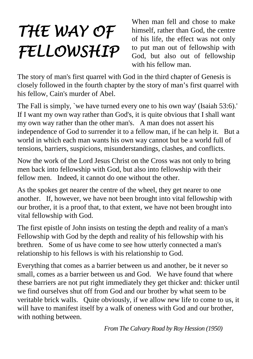# *THE WAY OF FELLOWSHIP*

When man fell and chose to make himself, rather than God, the centre of his life, the effect was not only to put man out of fellowship with God, but also out of fellowship with his fellow man.

The story of man's first quarrel with God in the third chapter of Genesis is closely followed in the fourth chapter by the story of man's first quarrel with his fellow, Cain's murder of Abel.

The Fall is simply, `we have turned every one to his own way' (Isaiah 53:6).' If I want my own way rather than God's, it is quite obvious that I shall want my own way rather than the other man's. A man does not assert his independence of God to surrender it to a fellow man, if he can help it. But a world in which each man wants his own way cannot but be a world full of tensions, barriers, suspicions, misunderstandings, clashes, and conflicts.

Now the work of the Lord Jesus Christ on the Cross was not only to bring men back into fellowship with God, but also into fellowship with their fellow men. Indeed, it cannot do one without the other.

As the spokes get nearer the centre of the wheel, they get nearer to one another. If, however, we have not been brought into vital fellowship with our brother, it is a proof that, to that extent, we have not been brought into vital fellowship with God.

The first epistle of John insists on testing the depth and reality of a man's Fellowship with God by the depth and reality of his fellowship with his brethren. Some of us have come to see how utterly connected a man's relationship to his fellows is with his relationship to God.

Everything that comes as a barrier between us and another, be it never so small, comes as a barrier between us and God. We have found that where these barriers are not put right immediately they get thicker and: thicker until we find ourselves shut off from God and our brother by what seem to be veritable brick walls. Quite obviously, if we allow new life to come to us, it will have to manifest itself by a walk of oneness with God and our brother, with nothing between.

*From The Calvary Road by Roy Hession (1950)*